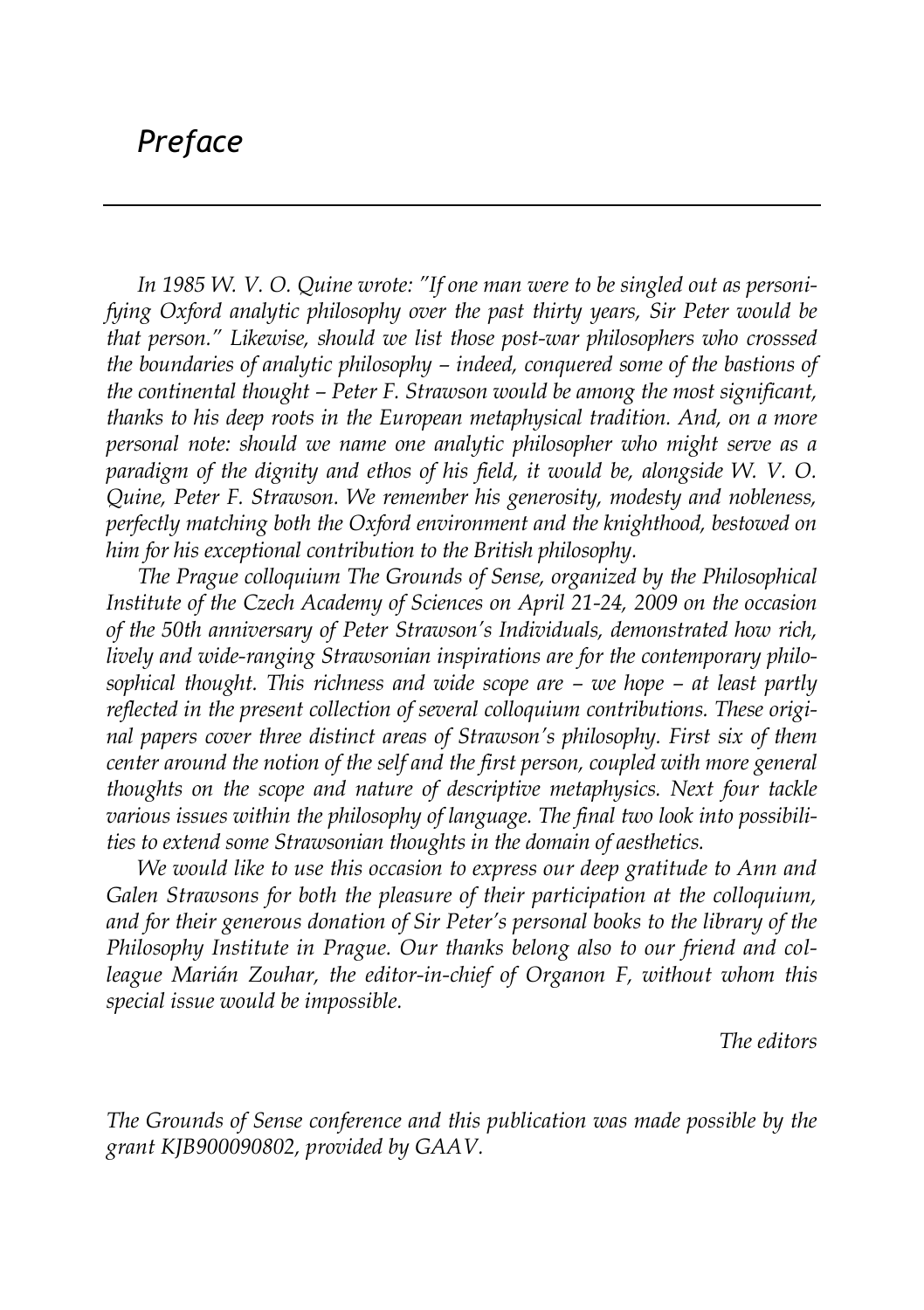## *Preface*

*In 1985 W. V. O. Quine wrote: "If one man were to be singled out as personifying Oxford analytic philosophy over the past thirty years, Sir Peter would be that person." Likewise, should we list those post-war philosophers who crosssed the boundaries of analytic philosophy – indeed, conquered some of the bastions of the continental thought – Peter F. Strawson would be among the most significant, thanks to his deep roots in the European metaphysical tradition. And, on a more personal note: should we name one analytic philosopher who might serve as a paradigm of the dignity and ethos of his field, it would be, alongside W. V. O. Quine, Peter F. Strawson. We remember his generosity, modesty and nobleness, perfectly matching both the Oxford environment and the knighthood, bestowed on him for his exceptional contribution to the British philosophy.*

*The Prague colloquium The Grounds of Sense, organized by the Philosophical Institute of the Czech Academy of Sciences on April 21-24, 2009 on the occasion of the 50th anniversary of Peter Strawson's Individuals, demonstrated how rich, lively and wide-ranging Strawsonian inspirations are for the contemporary philosophical thought. This richness and wide scope are – we hope – at least partly reflected in the present collection of several colloquium contributions. These original papers cover three distinct areas of Strawson's philosophy. First six of them center around the notion of the self and the first person, coupled with more general thoughts on the scope and nature of descriptive metaphysics. Next four tackle various issues within the philosophy of language. The final two look into possibilities to extend some Strawsonian thoughts in the domain of aesthetics.*

*We would like to use this occasion to express our deep gratitude to Ann and Galen Strawsons for both the pleasure of their participation at the colloquium, and for their generous donation of Sir Peter's personal books to the library of the Philosophy Institute in Prague. Our thanks belong also to our friend and colleague Marián Zouhar, the editor-in-chief of Organon F, without whom this special issue would be impossible.*

*The editors*

*The Grounds of Sense conference and this publication was made possible by the grant KJB900090802, provided by GAAV.*